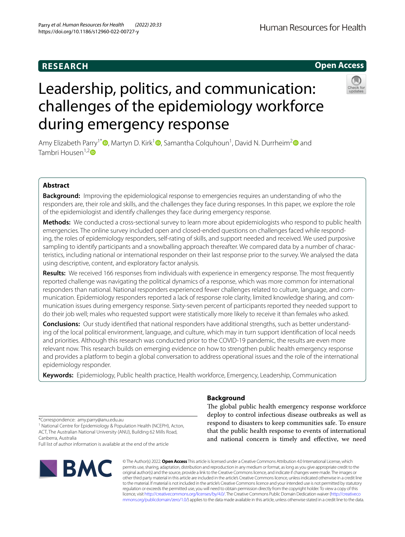# **RESEARCH**

# Leadership, politics, and communication: challenges of the epidemiology workforce during emergency response

Amy Elizabeth Parry<sup>1\*</sup><sup>®</sup>[,](http://orcid.org/0000-0001-5432-5984) Martyn D. Kirk<sup>1</sup><sup>®</sup>, Samantha Colquhoun<sup>1</sup>, David N. Durrheim<sup>[2](http://orcid.org/0000-0001-9236-4861)</sup><sup>®</sup> and Tambri Housen<sup>1,[2](http://orcid.org/0000-0002-4569-7601)</sup><sup>0</sup>

# **Abstract**

**Background:** Improving the epidemiological response to emergencies requires an understanding of who the responders are, their role and skills, and the challenges they face during responses. In this paper, we explore the role of the epidemiologist and identify challenges they face during emergency response.

**Methods:** We conducted a cross-sectional survey to learn more about epidemiologists who respond to public health emergencies. The online survey included open and closed-ended questions on challenges faced while responding, the roles of epidemiology responders, self-rating of skills, and support needed and received. We used purposive sampling to identify participants and a snowballing approach thereafter. We compared data by a number of characteristics, including national or international responder on their last response prior to the survey. We analysed the data using descriptive, content, and exploratory factor analysis.

**Results:** We received 166 responses from individuals with experience in emergency response. The most frequently reported challenge was navigating the political dynamics of a response, which was more common for international responders than national. National responders experienced fewer challenges related to culture, language, and communication. Epidemiology responders reported a lack of response role clarity, limited knowledge sharing, and communication issues during emergency response. Sixty-seven percent of participants reported they needed support to do their job well; males who requested support were statistically more likely to receive it than females who asked.

**Conclusions:** Our study identifed that national responders have additional strengths, such as better understanding of the local political environment, language, and culture, which may in turn support identifcation of local needs and priorities. Although this research was conducted prior to the COVID-19 pandemic, the results are even more relevant now. This research builds on emerging evidence on how to strengthen public health emergency response and provides a platform to begin a global conversation to address operational issues and the role of the international epidemiology responder.

**Keywords:** Epidemiology, Public health practice, Health workforce, Emergency, Leadership, Communication

# **Background**

regulation or exceeds the permitted use, you will need to obtain permission directly from the copyright holder. To view a copy of this licence, visit [http://creativecommons.org/licenses/by/4.0/.](http://creativecommons.org/licenses/by/4.0/) The Creative Commons Public Domain Dedication waiver ([http://creativeco](http://creativecommons.org/publicdomain/zero/1.0/) [mmons.org/publicdomain/zero/1.0/](http://creativecommons.org/publicdomain/zero/1.0/)) applies to the data made available in this article, unless otherwise stated in a credit line to the data.

The global public health emergency response workforce deploy to control infectious disease outbreaks as well as respond to disasters to keep communities safe. To ensure

\*Correspondence: amy.parry@anu.edu.au

<sup>1</sup> National Centre for Epidemiology & Population Health (NCEPH), Acton, ACT, The Australian National University (ANU), Building 62 Mills Road, Canberra, Australia

Full list of author information is available at the end of the article







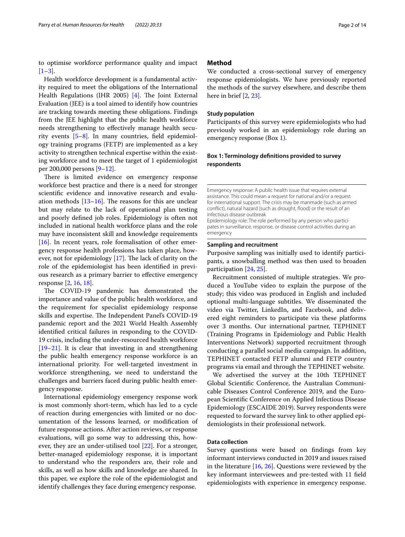to optimise workforce performance quality and impact  $[1-3]$  $[1-3]$ .

Health workforce development is a fundamental activity required to meet the obligations of the International Health Regulations (IHR 2005)  $[4]$  $[4]$ . The Joint External Evaluation (JEE) is a tool aimed to identify how countries are tracking towards meeting these obligations. Findings from the JEE highlight that the public health workforce needs strengthening to efectively manage health security events [\[5](#page-11-3)[–8](#page-11-4)]. In many countries, feld epidemiology training programs (FETP) are implemented as a key activity to strengthen technical expertise within the existing workforce and to meet the target of 1 epidemiologist per 200,000 persons [\[9–](#page-11-5)[12\]](#page-11-6).

There is limited evidence on emergency response workforce best practice and there is a need for stronger scientifc evidence and innovative research and evaluation methods  $[13-16]$  $[13-16]$ . The reasons for this are unclear but may relate to the lack of operational plan testing and poorly defned job roles. Epidemiology is often not included in national health workforce plans and the role may have inconsistent skill and knowledge requirements  $[16]$  $[16]$ . In recent years, role formalisation of other emergency response health professions has taken place, however, not for epidemiology  $[17]$  $[17]$ . The lack of clarity on the role of the epidemiologist has been identifed in previous research as a primary barrier to efective emergency response [[2](#page-11-10), [16,](#page-11-8) [18](#page-12-0)].

The COVID-19 pandemic has demonstrated the importance and value of the public health workforce, and the requirement for specialist epidemiology response skills and expertise. The Independent Panel's COVID-19 pandemic report and the 2021 World Health Assembly identifed critical failures in responding to the COVID-19 crisis, including the under-resourced health workforce [[19–](#page-12-1)[21](#page-12-2)]. It is clear that investing in and strengthening the public health emergency response workforce is an international priority. For well-targeted investment in workforce strengthening, we need to understand the challenges and barriers faced during public health emergency response.

International epidemiology emergency response work is most commonly short-term, which has led to a cycle of reaction during emergencies with limited or no documentation of the lessons learned, or modifcation of future response actions. After action reviews, or response evaluations, will go some way to addressing this, however, they are an under-utilised tool [[22\]](#page-12-3). For a stronger, better-managed epidemiology response, it is important to understand who the responders are, their role and skills, as well as how skills and knowledge are shared. In this paper, we explore the role of the epidemiologist and identify challenges they face during emergency response.

# **Method**

We conducted a cross-sectional survey of emergency response epidemiologists. We have previously reported the methods of the survey elsewhere, and describe them here in brief [[2,](#page-11-10) [23](#page-12-4)].

# **Study population**

Participants of this survey were epidemiologists who had previously worked in an epidemiology role during an emergency response (Box [1\)](#page-1-0).

# <span id="page-1-0"></span>**Box 1: Terminology defnitions provided to survey respondents**

Emergency response: A public health issue that requires external assistance. This could mean a request for national and/or a request for international support. The crisis may be manmade (such as armed conflict), natural hazard (such as drought, flood) or the result of an infectious disease outbreak

Epidemiology role: The role performed by any person who participates in surveillance, response, or disease control activities during an emergency

#### **Sampling and recruitment**

Purposive sampling was initially used to identify participants, a snowballing method was then used to broaden participation [\[24,](#page-12-5) [25](#page-12-6)].

Recruitment consisted of multiple strategies. We produced a YouTube video to explain the purpose of the study; this video was produced in English and included optional multi-language subtitles. We disseminated the video via Twitter, LinkedIn, and Facebook, and delivered eight reminders to participate via these platforms over 3 months. Our international partner, TEPHINET (Training Programs in Epidemiology and Public Health Interventions Network) supported recruitment through conducting a parallel social media campaign. In addition, TEPHINET contacted FETP alumni and FETP country programs via email and through the TEPHINET website.

We advertised the survey at the 10th TEPHINET Global Scientifc Conference, the Australian Communicable Diseases Control Conference 2019, and the European Scientifc Conference on Applied Infectious Disease Epidemiology (ESCAIDE 2019). Survey respondents were requested to forward the survey link to other applied epidemiologists in their professional network.

# **Data collection**

Survey questions were based on fndings from key informant interviews conducted in 2019 and issues raised in the literature  $[16, 26]$  $[16, 26]$  $[16, 26]$  $[16, 26]$  $[16, 26]$ . Questions were reviewed by the key informant interviewees and pre-tested with 11 feld epidemiologists with experience in emergency response.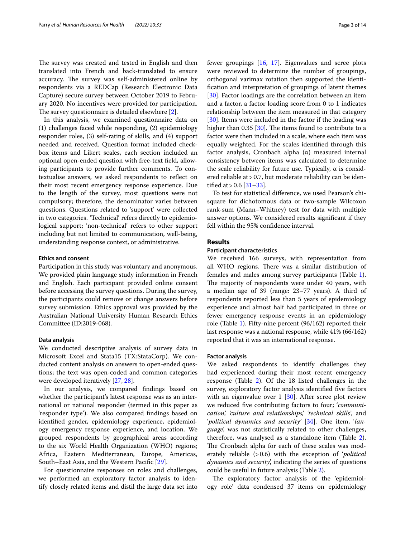The survey was created and tested in English and then translated into French and back-translated to ensure accuracy. The survey was self-administered online by respondents via a REDCap (Research Electronic Data Capture) secure survey between October 2019 to February 2020. No incentives were provided for participation. The survey questionnaire is detailed elsewhere  $[2]$  $[2]$  $[2]$ .

In this analysis, we examined questionnaire data on (1) challenges faced while responding, (2) epidemiology responder roles, (3) self-rating of skills, and (4) support needed and received. Question format included checkbox items and Likert scales, each section included an optional open-ended question with free-text feld, allowing participants to provide further comments. To contextualise answers, we asked respondents to refect on their most recent emergency response experience. Due to the length of the survey, most questions were not compulsory; therefore, the denominator varies between questions. Questions related to 'support' were collected in two categories. 'Technical' refers directly to epidemiological support; 'non-technical' refers to other support including but not limited to communication, well-being, understanding response context, or administrative.

#### **Ethics and consent**

Participation in this study was voluntary and anonymous. We provided plain language study information in French and English. Each participant provided online consent before accessing the survey questions. During the survey, the participants could remove or change answers before survey submission. Ethics approval was provided by the Australian National University Human Research Ethics Committee (ID:2019-068).

#### **Data analysis**

We conducted descriptive analysis of survey data in Microsoft Excel and Stata15 (TX:StataCorp). We conducted content analysis on answers to open-ended questions; the text was open-coded and common categories were developed iteratively [\[27](#page-12-8), [28\]](#page-12-9).

In our analysis, we compared fndings based on whether the participant's latest response was as an international or national responder (termed in this paper as 'responder type'). We also compared fndings based on identifed gender, epidemiology experience, epidemiology emergency response experience, and location. We grouped respondents by geographical areas according to the six World Health Organization (WHO) regions; Africa, Eastern Mediterranean, Europe, Americas, South–East Asia, and the Western Pacifc [\[29](#page-12-10)].

For questionnaire responses on roles and challenges, we performed an exploratory factor analysis to identify closely related items and distil the large data set into fewer groupings [[16](#page-11-8), [17\]](#page-11-9). Eigenvalues and scree plots were reviewed to determine the number of groupings, orthogonal varimax rotation then supported the identifcation and interpretation of groupings of latent themes [[30\]](#page-12-11). Factor loadings are the correlation between an item and a factor, a factor loading score from 0 to 1 indicates relationship between the item measured in that category [[30\]](#page-12-11). Items were included in the factor if the loading was higher than  $0.35$  [ $30$ ]. The items found to contribute to a factor were then included in a scale, where each item was equally weighted. For the scales identifed through this factor analysis, Cronbach alpha (α) measured internal consistency between items was calculated to determine the scale reliability for future use. Typically,  $α$  is considered reliable at > 0.7, but moderate reliability can be identified at  $> 0.6$  [\[31](#page-12-12)–[33\]](#page-12-13).

To test for statistical diference, we used Pearson's chisquare for dichotomous data or two-sample Wilcoxon rank-sum (Mann–Whitney) test for data with multiple answer options. We considered results signifcant if they fell within the 95% confdence interval.

# **Results**

# **Participant characteristics**

We received 166 surveys, with representation from all WHO regions. There was a similar distribution of females and males among survey participants (Table [1](#page-3-0)). The majority of respondents were under 40 years, with a median age of 39 (range: 23–77 years). A third of respondents reported less than 5 years of epidemiology experience and almost half had participated in three or fewer emergency response events in an epidemiology role (Table [1](#page-3-0)). Fifty-nine percent (96/162) reported their last response was a national response, while 41% (66/162) reported that it was an international response.

#### **Factor analysis**

We asked respondents to identify challenges they had experienced during their most recent emergency response (Table [2](#page-4-0)). Of the 18 listed challenges in the survey, exploratory factor analysis identifed fve factors with an eigenvalue over 1 [[30](#page-12-11)]. After scree plot review we reduced fve contributing factors to four; '*communication', 'culture and relationships', 'technical skills'*, and '*political dynamics and security'* [\[34\]](#page-12-14). One item, '*language*', was not statistically related to other challenges, therefore, was analysed as a standalone item (Table [2](#page-4-0)). The Cronbach alpha for each of these scales was moderately reliable (>0.6) with the exception of '*political dynamics and security*', indicating the series of questions could be useful in future analysis (Table [2](#page-4-0)).

The exploratory factor analysis of the 'epidemiology role' data condensed 37 items on epidemiology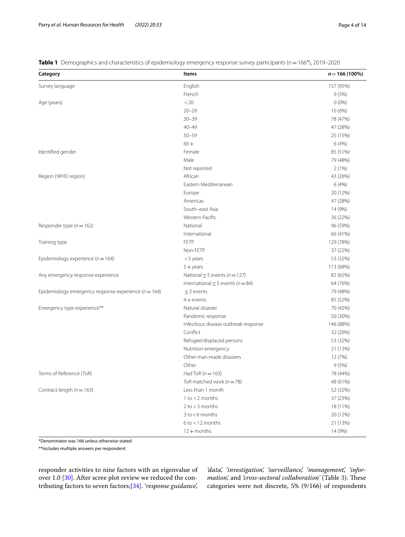<span id="page-3-0"></span>**Table 1** Demographics and characteristics of epidemiology emergency response survey participants (*n*=166\*), 2019–2020

| Category                                                 | Items                                  | $n = 166(100\%)$ |
|----------------------------------------------------------|----------------------------------------|------------------|
| Survey language                                          | English                                | 157 (95%)        |
|                                                          | French                                 | 9(5%)            |
| Age (years)                                              | < 20                                   | $0(0\%)$         |
|                                                          | $20 - 29$                              | 10 (6%)          |
|                                                          | $30 - 39$                              | 78 (47%)         |
|                                                          | $40 - 49$                              | 47 (28%)         |
|                                                          | $50 - 59$                              | 25 (15%)         |
|                                                          | $60 +$                                 | 6 (4%)           |
| Identified gender                                        | Female                                 | 85 (51%)         |
|                                                          | Male                                   | 79 (48%)         |
|                                                          | Not reported                           | 2(1%)            |
| Region (WHO region)                                      | African                                | 43 (26%)         |
|                                                          | Eastern Mediterranean                  | 6 (4%)           |
|                                                          | Europe                                 | 20 (12%)         |
|                                                          | Americas                               | 47 (28%)         |
|                                                          | South-east Asia                        | 14 (9%)          |
|                                                          | Western Pacific                        | 36 (22%)         |
| Responder type ( $n = 162$ )                             | National                               | 96 (59%)         |
|                                                          | International                          | 66 (41%)         |
| Training type                                            | FETP                                   | 129 (78%)        |
|                                                          | Non-FETP                               | 37 (22%)         |
| Epidemiology experience ( $n = 164$ )                    | $<$ 5 years                            | 53 (32%)         |
|                                                          | $5 + \gamma$ ears                      | 113 (68%)        |
| Any emergency response experience                        | National $\leq$ 5 events (n = 127)     | 82 (65%)         |
|                                                          | International $\leq$ 5 events (n = 84) | 64 (76%)         |
| Epidemiology emergency response experience ( $n = 164$ ) | $\leq$ 3 events                        | 79 (48%)         |
|                                                          | $4 +$ events                           | 85 (52%)         |
| Emergency type experience**                              | Natural disaster                       | 70 (42%)         |
|                                                          | Pandemic response                      | 50 (30%)         |
|                                                          | Infectious disease outbreak response   | 146 (88%)        |
|                                                          | Conflict                               | 32 (20%)         |
|                                                          | Refugee/displaced persons              | 53 (32%)         |
|                                                          | Nutrition emergency                    | 21 (13%)         |
|                                                          | Other man-made disasters               | 12 (7%)          |
|                                                          | Other                                  | 9(5%)            |
| Terms of Reference (ToR)                                 | Had ToR $(n=163)$                      | 78 (44%)         |
|                                                          | ToR matched work ( $n = 78$ )          | 48 (61%)         |
| Contract length ( $n = 163$ )                            | Less than 1 month                      | 52 (32%)         |
|                                                          | $1$ to $<$ 2 months                    | 37 (23%)         |
|                                                          | $2$ to $<$ 3 months                    | 18 (11%)         |
|                                                          | $3$ to $<$ 6 months                    | 20 (12%)         |
|                                                          | $6$ to $<$ 12 months                   | 21 (13%)         |
|                                                          | $12 +$ months                          | 14 (9%)          |

\*Denominator was 166 unless otherwise stated

\*\*Includes multiple answers per respondent

responder activities to nine factors with an eigenvalue of over 1.0 [[30](#page-12-11)]. After scree plot review we reduced the contributing factors to seven factors;[\[34\]](#page-12-14). '*response guidance*',

*'data', 'investigation', 'surveillance', 'management', 'information*', and 'cross-sectoral collaboration' (Table [3\)](#page-5-0). These categories were not discrete, 5% (9/166) of respondents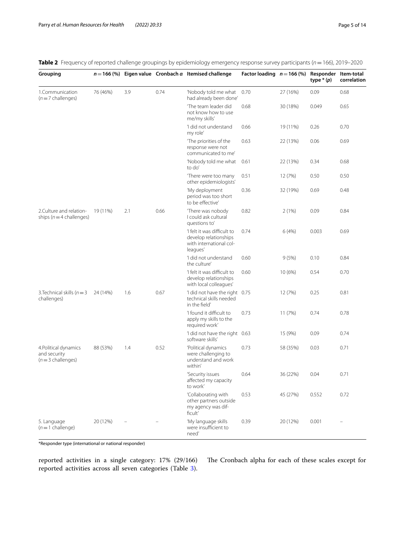<span id="page-4-0"></span>

|  |  |  |  | Table 2 Frequency of reported challenge groupings by epidemiology emergency response survey participants (n = 166), 2019-2020 |
|--|--|--|--|-------------------------------------------------------------------------------------------------------------------------------|
|--|--|--|--|-------------------------------------------------------------------------------------------------------------------------------|

| Grouping                                                    |          |     |      | $n = 166$ (%) Eigen value Cronbach $\alpha$ Itemised challenge                              | Factor loading $n = 166$ (%) |          | Responder Item-total<br>type $*(p)$ | correlation |
|-------------------------------------------------------------|----------|-----|------|---------------------------------------------------------------------------------------------|------------------------------|----------|-------------------------------------|-------------|
| 1.Communication<br>$(n=7$ challenges)                       | 76 (46%) | 3.9 | 0.74 | 'Nobody told me what<br>had already been done'                                              | 0.70                         | 27 (16%) | 0.09                                | 0.68        |
|                                                             |          |     |      | 'The team leader did<br>not know how to use<br>me/my skills'                                | 0.68                         | 30 (18%) | 0.049                               | 0.65        |
|                                                             |          |     |      | 'I did not understand<br>my role'                                                           | 0.66                         | 19 (11%) | 0.26                                | 0.70        |
|                                                             |          |     |      | 'The priorities of the<br>response were not<br>communicated to me'                          | 0.63                         | 22 (13%) | 0.06                                | 0.69        |
|                                                             |          |     |      | 'Nobody told me what<br>to do'                                                              | 0.61                         | 22 (13%) | 0.34                                | 0.68        |
|                                                             |          |     |      | 'There were too many<br>other epidemiologists'                                              | 0.51                         | 12 (7%)  | 0.50                                | 0.50        |
|                                                             |          |     |      | 'My deployment<br>period was too short<br>to be effective'                                  | 0.36                         | 32 (19%) | 0.69                                | 0.48        |
| 2.Culture and relation-<br>ships ( $n = 4$ challenges)      | 19 (11%) | 2.1 | 0.66 | 'There was nobody<br>I could ask cultural<br>questions to'                                  | 0.82                         | 2(1%)    | 0.09                                | 0.84        |
|                                                             |          |     |      | 'I felt it was difficult to<br>develop relationships<br>with international col-<br>leagues' | 0.74                         | 6 (4%)   | 0.003                               | 0.69        |
|                                                             |          |     |      | 'I did not understand<br>the culture'                                                       | 0.60                         | 9(5%)    | 0.10                                | 0.84        |
|                                                             |          |     |      | 'I felt it was difficult to<br>develop relationships<br>with local colleagues'              | 0.60                         | 10(6%)   | 0.54                                | 0.70        |
| 3. Technical skills ( $n = 3$<br>challenges)                | 24 (14%) | 1.6 | 0.67 | 'I did not have the right 0.75<br>technical skills needed<br>in the field'                  |                              | 12 (7%)  | 0.25                                | 0.81        |
|                                                             |          |     |      | 'I found it difficult to<br>apply my skills to the<br>required work'                        | 0.73                         | 11(7%)   | 0.74                                | 0.78        |
|                                                             |          |     |      | 'I did not have the right 0.63<br>software skills'                                          |                              | 15 (9%)  | 0.09                                | 0.74        |
| 4. Political dynamics<br>and security<br>$(n=3$ challenges) | 88 (53%) | 1.4 | 0.52 | 'Political dynamics<br>were challenging to<br>understand and work<br>within'                | 0.73                         | 58 (35%) | 0.03                                | 0.71        |
|                                                             |          |     |      | 'Security issues<br>affected my capacity<br>to work'                                        | 0.64                         | 36 (22%) | 0.04                                | 0.71        |
|                                                             |          |     |      | 'Collaborating with<br>other partners outside<br>my agency was dif-<br>ficult'              | 0.53                         | 45 (27%) | 0.552                               | 0.72        |
| 5. Language<br>$(n=1$ challenge)                            | 20 (12%) |     |      | 'My language skills<br>were insufficient to<br>need'                                        | 0.39                         | 20 (12%) | 0.001                               |             |

\*Responder type (international or national responder)

reported activities in a single category: 17% (29/166) reported activities across all seven categories (Table [3](#page-5-0)).

The Cronbach alpha for each of these scales except for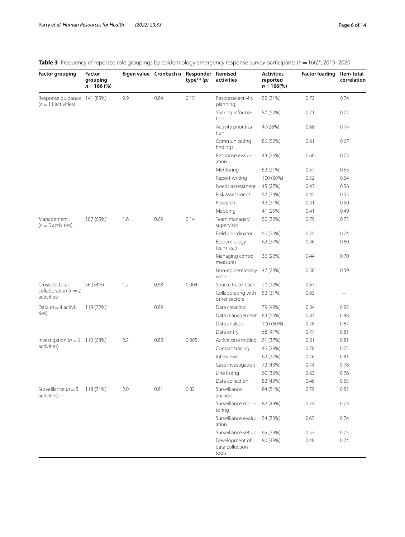| <b>Factor grouping</b>                             | Factor<br>grouping<br>$n = 166 (%)$ |     | Eigen value Cronbach a Responder Itemised | type <sup>**</sup> $(p)$ | activities                                 | <b>Activities</b><br>reported<br>$n = 166\frac{6}{6}$ | <b>Factor loading</b> | Item-total<br>correlation |
|----------------------------------------------------|-------------------------------------|-----|-------------------------------------------|--------------------------|--------------------------------------------|-------------------------------------------------------|-----------------------|---------------------------|
| Response guidance 141 (85%)<br>$(n=11$ activities) |                                     | 9.9 | 0.84                                      | 0.15                     | Response activity<br>planning              | 52 (31%)                                              | 0.72                  | 0.74                      |
|                                                    |                                     |     |                                           |                          | Sharing informa-<br>tion                   | 87 (52%)                                              | 0.71                  | 0.71                      |
|                                                    |                                     |     |                                           |                          | Activity prioritisa-<br>tion               | 47(28%)                                               | 0.68                  | 0.74                      |
|                                                    |                                     |     |                                           |                          | Communicating<br>findings                  | 86 (52%)                                              | 0.61                  | 0.67                      |
|                                                    |                                     |     |                                           |                          | Response evalu-<br>ation                   | 43 (26%)                                              | 0.60                  | 0.73                      |
|                                                    |                                     |     |                                           |                          | Mentoring                                  | 52 (31%)                                              | 0.57                  | 0.55                      |
|                                                    |                                     |     |                                           |                          | Report writing                             | 100 (60%)                                             | 0.52                  | 0.64                      |
|                                                    |                                     |     |                                           |                          | Needs assessment                           | 45 (27%)                                              | 0.47                  | 0.56                      |
|                                                    |                                     |     |                                           |                          | Risk assessment                            | 57 (34%)                                              | 0.45                  | 0.55                      |
|                                                    |                                     |     |                                           |                          | Research                                   | 42 (31%)                                              | 0.41                  | 0.50                      |
|                                                    |                                     |     |                                           |                          | Mapping                                    | 41 (25%)                                              | 0.41                  | 0.49                      |
| Management<br>$(n=5$ activities)                   | 107 (65%)                           | 1.6 | 0.69                                      | 0.14                     | Team manager/<br>supervisor                | 50 (30%)                                              | 0.79                  | 0.73                      |
|                                                    |                                     |     |                                           |                          | Field coordinator                          | 50 (30%)                                              | 0.75                  | 0.74                      |
|                                                    |                                     |     |                                           |                          | Epidemiology<br>team lead                  | 62 (37%)                                              | 0.46                  | 0.60                      |
|                                                    |                                     |     |                                           |                          | Managing control<br>measures               | 36 (22%)                                              | 0.44                  | 0.70                      |
|                                                    |                                     |     |                                           |                          | Non-epidemiology<br>work                   | 47 (28%)                                              | 0.38                  | 0.59                      |
| Cross-sectoral                                     | 56 (34%)                            | 1.2 | 0.58                                      | 0.004                    | Source trace-back                          | 20 (12%)                                              | 0.67                  | $\overline{\phantom{m}}$  |
| collaboration ( $n = 2$<br>activities)             |                                     |     |                                           |                          | Collaborating with<br>other sectors        | 52 (31%)                                              | 0.63                  | $\overline{\phantom{0}}$  |
| Data ( $n = 4$ activi-                             | 119 (72%)                           |     | 0.89                                      |                          | Data cleaning                              | 79 (48%)                                              | 0.84                  | 0.92                      |
| ties)                                              |                                     |     |                                           |                          | Data management                            | 83 (50%)                                              | 0.83                  | 0.88                      |
|                                                    |                                     |     |                                           |                          | Data analysis                              | 100 (60%)                                             | 0.78                  | 0.87                      |
|                                                    |                                     |     |                                           |                          | Data entry                                 | 68 (41%)                                              | 0.77                  | 0.81                      |
| Investigation ( $n = 6$ 113 (68%)                  |                                     | 2.2 | 0.85                                      | 0.005                    | Active case finding                        | 61 (37%)                                              | 0.81                  | 0.81                      |
| activities)                                        |                                     |     |                                           |                          | Contact tracing                            | 46 (28%)                                              | 0.78                  | 0.75                      |
|                                                    |                                     |     |                                           |                          | Interviews                                 | 62 (37%)                                              | 0.76                  | 0.81                      |
|                                                    |                                     |     |                                           |                          | Case investigation                         | 72 (43%)                                              | 0.74                  | 0.78                      |
|                                                    |                                     |     |                                           |                          | Line listing                               | 60 (36%)                                              | 0.63                  | 0.76                      |
|                                                    |                                     |     |                                           |                          | Data collection                            | 82 (49%)                                              | 0.46                  | 0.65                      |
| Surveillance ( $n = 5$<br>activities)              | 118 (71%)                           | 2.0 | 0.81                                      | 0.82                     | Surveillance<br>analysis                   | 84 (51%)                                              | 0.79                  | 0.82                      |
|                                                    |                                     |     |                                           |                          | Surveillance moni-<br>toring               | 82 (49%)                                              | 0.74                  | 0.73                      |
|                                                    |                                     |     |                                           |                          | Surveillance evalu-<br>ation               | 54 (33%)                                              | 0.67                  | 0.74                      |
|                                                    |                                     |     |                                           |                          | Surveillance set up                        | 65 (39%)                                              | 0.53                  | 0.75                      |
|                                                    |                                     |     |                                           |                          | Development of<br>data collection<br>tools | 80 (48%)                                              | 0.48                  | 0.74                      |

<span id="page-5-0"></span>**Table 3** Frequency of reported role groupings by epidemiology emergency response survey participants (*n*=166)\*, 2019–2020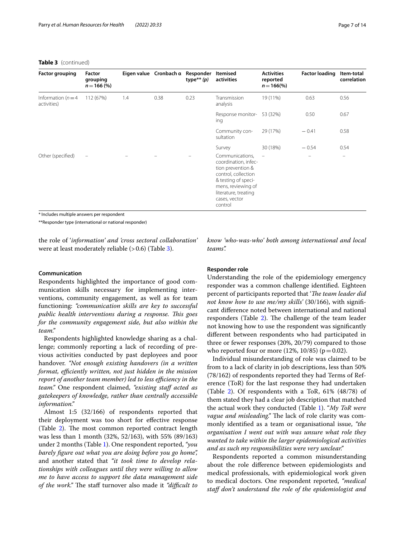#### **Table 3** (continued)

| <b>Factor grouping</b>             | Factor<br>grouping<br>$n = 166 (%)$ |     | Eigen value Cronbach a | Responder<br>type <sup>**</sup> $(p)$ | Itemised<br>activities                                                                                                                                                               | <b>Activities</b><br>reported<br>$n = 166\%$ | <b>Factor loading</b> | Item-total<br>correlation |
|------------------------------------|-------------------------------------|-----|------------------------|---------------------------------------|--------------------------------------------------------------------------------------------------------------------------------------------------------------------------------------|----------------------------------------------|-----------------------|---------------------------|
| Information $(n=4)$<br>activities) | 112 (67%)                           | 1.4 | 0.38                   | 0.23                                  | Transmission<br>analysis                                                                                                                                                             | 19 (11%)                                     | 0.63                  | 0.56                      |
|                                    |                                     |     |                        |                                       | Response monitor-<br>ing                                                                                                                                                             | 53 (32%)                                     | 0.50                  | 0.67                      |
|                                    |                                     |     |                        |                                       | Community con-<br>sultation                                                                                                                                                          | 29 (17%)                                     | $-0.41$               | 0.58                      |
|                                    |                                     |     |                        |                                       | Survey                                                                                                                                                                               | 30 (18%)                                     | $-0.54$               | 0.54                      |
| Other (specified)                  | $\overline{\phantom{m}}$            |     |                        |                                       | Communications,<br>coordination, infec-<br>tion prevention &<br>control, collection<br>& testing of speci-<br>mens, reviewing of<br>literature, treating<br>cases, vector<br>control | $\overline{\phantom{m}}$                     | $\equiv$              | $\equiv$                  |

\* Includes multiple answers per respondent

\*\*Responder type (international or national responder)

the role of '*information' and 'cross sectoral collaboration'* were at least moderately reliable  $(>0.6)$  (Table [3](#page-5-0)).

# **Communication**

Respondents highlighted the importance of good communication skills necessary for implementing interventions, community engagement, as well as for team functioning: *"communication skills are key to successful public health interventions during a response. Tis goes for the community engagement side, but also within the team."*

Respondents highlighted knowledge sharing as a challenge; commonly reporting a lack of recording of previous activities conducted by past deployees and poor handover. *"Not enough existing handovers (in a written format, efficiently written, not just hidden in the mission report of another team member) led to less efficiency in the team.*" One respondent claimed, "existing staff acted as *gatekeepers of knowledge, rather than centrally accessible information."*

Almost 1:5 (32/166) of respondents reported that their deployment was too short for efective response (Table  $2$ ). The most common reported contract length was less than 1 month (32%, 52/163), with 55% (89/163) under 2 months (Table [1](#page-3-0)). One respondent reported, *"you barely fgure out what you are doing before you go home",* and another stated that *"it took time to develop relationships with colleagues until they were willing to allow me to have access to support the data management side of the work.*" The staff turnover also made it *"difficult to*  *know 'who-was-who' both among international and local teams".*

# **Responder role**

Understanding the role of the epidemiology emergency responder was a common challenge identifed. Eighteen percent of participants reported that '*The team leader did not know how to use me/my skills'* (30/166), with signifcant diference noted between international and national responders (Table [2\)](#page-4-0). The challenge of the team leader not knowing how to use the respondent was signifcantly diferent between respondents who had participated in three or fewer responses (20%, 20/79) compared to those who reported four or more  $(12\%, 10/85)$  ( $p = 0.02$ ).

Individual misunderstanding of role was claimed to be from to a lack of clarity in job descriptions, less than 50% (78/162) of respondents reported they had Terms of Reference (ToR) for the last response they had undertaken (Table [2\)](#page-4-0). Of respondents with a ToR, 61% (48/78) of them stated they had a clear job description that matched the actual work they conducted (Table [1\)](#page-3-0). "*My ToR were vague and misleading.*" The lack of role clarity was commonly identifed as a team or organisational issue, *"the organisation I went out with was unsure what role they wanted to take within the larger epidemiological activities and as such my responsibilities were very unclear."*

Respondents reported a common misunderstanding about the role diference between epidemiologists and medical professionals, with epidemiological work given to medical doctors. One respondent reported, *"medical staf don't understand the role of the epidemiologist and*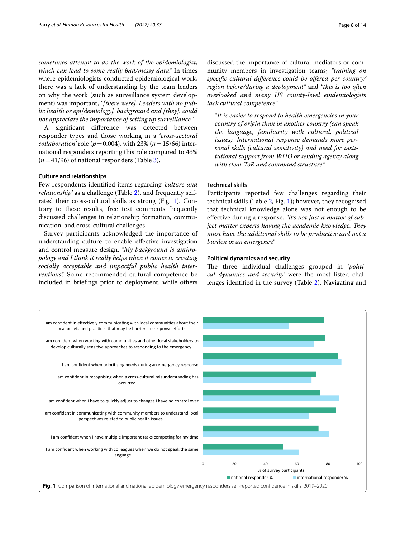*sometimes attempt to do the work of the epidemiologist, which can lead to some really bad/messy data."* In times where epidemiologists conducted epidemiological work, there was a lack of understanding by the team leaders on why the work (such as surveillance system development) was important, *"[there were]. Leaders with no public health or epi[demiology]. background and [they]. could not appreciate the importance of setting up surveillance."*

A signifcant diference was detected between responder types and those working in a '*cross-sectoral collaboration'* role ( $p = 0.004$ ), with 23% ( $n = 15/66$ ) international responders reporting this role compared to 43%  $(n=41/96)$  of national responders (Table [3\)](#page-5-0).

#### **Culture and relationships**

Few respondents identifed items regarding *'culture and relationship'* as a challenge (Table [2](#page-4-0)), and frequently selfrated their cross-cultural skills as strong (Fig. [1](#page-7-0)). Contrary to these results, free text comments frequently discussed challenges in relationship formation, communication, and cross-cultural challenges.

Survey participants acknowledged the importance of understanding culture to enable efective investigation and control measure design. *"My background is anthropology and I think it really helps when it comes to creating socially acceptable and impactful public health interventions".* Some recommended cultural competence be included in briefngs prior to deployment, while others

*"It is easier to respond to health emergencies in your country of origin than in another country (can speak the language, familiarity with cultural, political issues). International response demands more personal skills (cultural sensitivity) and need for institutional support from WHO or sending agency along with clear ToR and command structure."*

# **Technical skills**

Participants reported few challenges regarding their technical skills (Table [2](#page-4-0), Fig. [1](#page-7-0)); however, they recognised that technical knowledge alone was not enough to be efective during a response, *"it's not just a matter of subject matter experts having the academic knowledge. They must have the additional skills to be productive and not a burden in an emergency."*

# **Political dynamics and security**

The three individual challenges grouped in 'politi*cal dynamics and security'* were the most listed challenges identifed in the survey (Table [2](#page-4-0)). Navigating and

<span id="page-7-0"></span>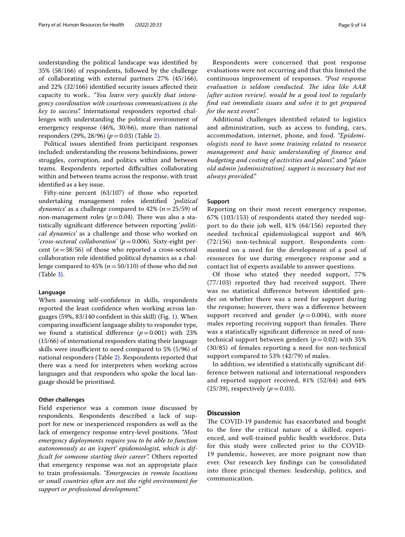understanding the political landscape was identifed by 35% (58/166) of respondents, followed by the challenge of collaborating with external partners 27% (45/166), and 22% (32/166) identifed security issues afected their capacity to work.. *"You learn very quickly that interagency coordination with courteous communications is the key to success".* International responders reported challenges with understanding the political environment of emergency response (46%, 30/66), more than national responders (29%, 28/96) (*p*=0.03) (Table [2](#page-4-0)).

Political issues identifed from participant responses included: understanding the reasons behindisions, power struggles, corruption, and politics within and between teams. Respondents reported difficulties collaborating within and between teams across the response, with trust identifed as a key issue.

Fifty-nine percent (63/107) of those who reported undertaking management roles identifed *'political dynamics'* as a challenge compared to 42% (*n*=25/59) of non-management roles  $(p=0.04)$ . There was also a statistically signifcant diference between reporting '*political dynamics'* as a challenge and those who worked on '*cross-sectoral collaboration'* (*p*=0.006). Sixty-eight percent (*n*=38/56) of those who reported a cross-sectoral collaboration role identifed political dynamics as a challenge compared to 45% (*n*=50/110) of those who did not (Table [3](#page-5-0)).

#### **Language**

When assessing self-confdence in skills, respondents reported the least confdence when working across languages (59%, 83/140 confdent in this skill) (Fig. [1\)](#page-7-0). When comparing insufficient language ability to responder type, we found a statistical difference  $(p=0.001)$  with 23% (15/66) of international responders stating their language skills were insufficient to need compared to 5% (5/96) of national responders (Table [2](#page-4-0)). Respondents reported that there was a need for interpreters when working across languages and that responders who spoke the local language should be prioritised.

#### **Other challenges**

Field experience was a common issue discussed by respondents. Respondents described a lack of support for new or inexperienced responders as well as the lack of emergency response entry-level positions. *"Most emergency deployments require you to be able to function autonomously as an 'expert' epidemiologist, which is diffcult for someone starting their career".* Others reported that emergency response was not an appropriate place to train professionals. *"Emergencies in remote locations or small countries often are not the right environment for support or professional development."*

Respondents were concerned that post response evaluations were not occurring and that this limited the continuous improvement of responses. *"Post response*  evaluation is seldom conducted. The idea like AAR *[after action review]. would be a good tool to regularly fnd out immediate issues and solve it to get prepared for the next event".*

Additional challenges identifed related to logistics and administration, such as access to funding, cars, accommodation, internet, phone, and food. *"Epidemiologists need to have some training related to resource management and basic understanding of fnance and budgeting and costing of activities and plans",* and *"plain old admin [administration]. support is necessary but not always provided."*

# **Support**

Reporting on their most recent emergency response, 67% (103/153) of respondents stated they needed support to do their job well, 41% (64/156) reported they needed technical epidemiological support and 46% (72/156) non-technical support. Respondents commented on a need for the development of a pool of resources for use during emergency response and a contact list of experts available to answer questions.

Of those who stated they needed support, 77%  $(77/103)$  reported they had received support. There was no statistical diference between identifed gender on whether there was a need for support during the response; however, there was a diference between support received and gender  $(p=0.004)$ , with more males reporting receiving support than females. There was a statistically signifcant diference in need of nontechnical support between genders ( $p=0.02$ ) with 35% (30/85) of females reporting a need for non-technical support compared to 53% (42/79) of males.

In addition, we identifed a statistically signifcant difference between national and international responders and reported support received, 81% (52/64) and 64% (25/39), respectively ( $p = 0.03$ ).

#### **Discussion**

The COVID-19 pandemic has exacerbated and bought to the fore the critical nature of a skilled, experienced, and well-trained public health workforce. Data for this study were collected prior to the COVID-19 pandemic, however, are more poignant now than ever. Our research key fndings can be consolidated into three principal themes: leadership, politics, and communication.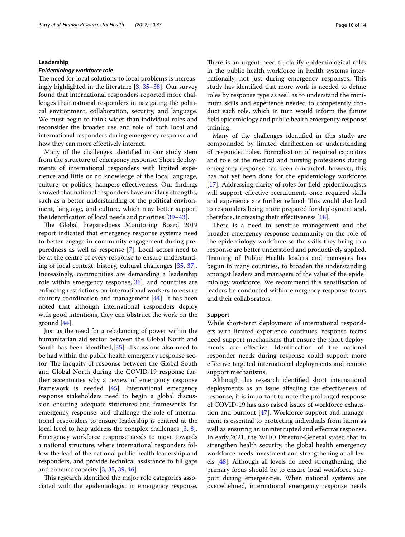#### <span id="page-9-0"></span>**Leadership**

# *Epidemiology workforce role*

The need for local solutions to local problems is increasingly highlighted in the literature [[3,](#page-11-1) [35–](#page-12-15)[38](#page-12-16)]. Our survey found that international responders reported more challenges than national responders in navigating the political environment, collaboration, security, and language. We must begin to think wider than individual roles and reconsider the broader use and role of both local and international responders during emergency response and how they can more efectively interact.

Many of the challenges identifed in our study stem from the structure of emergency response. Short deployments of international responders with limited experience and little or no knowledge of the local language, culture, or politics, hampers efectiveness. Our fndings showed that national responders have ancillary strengths, such as a better understanding of the political environment, language, and culture, which may better support the identifcation of local needs and priorities [\[39](#page-12-17)[–43\]](#page-12-18).

The Global Preparedness Monitoring Board 2019 report indicated that emergency response systems need to better engage in community engagement during preparedness as well as response [\[7](#page-11-11)]. Local actors need to be at the centre of every response to ensure understanding of local context, history, cultural challenges [\[35,](#page-12-15) [37](#page-12-19)]. Increasingly, communities are demanding a leadership role within emergency response,[\[36](#page-12-20)]. and countries are enforcing restrictions on international workers to ensure country coordination and management [[44\]](#page-12-21). It has been noted that although international responders deploy with good intentions, they can obstruct the work on the ground [[44\]](#page-12-21).

Just as the need for a rebalancing of power within the humanitarian aid sector between the Global North and South has been identifed,[[35\]](#page-12-15). discussions also need to be had within the public health emergency response sector. The inequity of response between the Global South and Global North during the COVID-19 response further accentuates why a review of emergency response framework is needed [[45\]](#page-12-22). International emergency response stakeholders need to begin a global discussion ensuring adequate structures and frameworks for emergency response, and challenge the role of international responders to ensure leadership is centred at the local level to help address the complex challenges [[3,](#page-11-1) [8](#page-11-4)]. Emergency workforce response needs to move towards a national structure, where international responders follow the lead of the national public health leadership and responders, and provide technical assistance to fll gaps and enhance capacity [[3](#page-11-1), [35,](#page-12-15) [39](#page-12-17), [46\]](#page-12-23).

This research identified the major role categories associated with the epidemiologist in emergency response. There is an urgent need to clarify epidemiological roles in the public health workforce in health systems internationally, not just during emergency responses. This study has identifed that more work is needed to defne roles by response type as well as to understand the minimum skills and experience needed to competently conduct each role, which in turn would inform the future feld epidemiology and public health emergency response training.

Many of the challenges identifed in this study are compounded by limited clarifcation or understanding of responder roles. Formalisation of required capacities and role of the medical and nursing professions during emergency response has been conducted; however, this has not yet been done for the epidemiology workforce [[17\]](#page-11-9). Addressing clarity of roles for feld epidemiologists will support efective recruitment, once required skills and experience are further refined. This would also lead to responders being more prepared for deployment and, therefore, increasing their efectiveness [[18\]](#page-12-0).

There is a need to sensitise management and the broader emergency response community on the role of the epidemiology workforce so the skills they bring to a response are better understood and productively applied. Training of Public Health leaders and managers has begun in many countries, to broaden the understanding amongst leaders and managers of the value of the epidemiology workforce. We recommend this sensitisation of leaders be conducted within emergency response teams and their collaborators.

#### **Support**

While short-term deployment of international responders with limited experience continues, response teams need support mechanisms that ensure the short deployments are efective. Identifcation of the national responder needs during response could support more efective targeted international deployments and remote support mechanisms.

Although this research identifed short international deployments as an issue afecting the efectiveness of response, it is important to note the prolonged response of COVID-19 has also raised issues of workforce exhaustion and burnout  $[47]$  $[47]$ . Workforce support and management is essential to protecting individuals from harm as well as ensuring an uninterrupted and efective response. In early 2021, the WHO Director-General stated that to strengthen health security, the global health emergency workforce needs investment and strengthening at all levels [[48](#page-12-25)]. Although all levels do need strengthening, the primary focus should be to ensure local workforce support during emergencies. When national systems are overwhelmed, international emergency response needs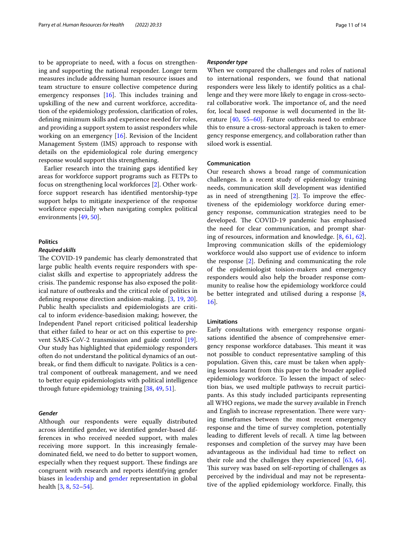to be appropriate to need, with a focus on strengthening and supporting the national responder. Longer term measures include addressing human resource issues and team structure to ensure collective competence during emergency responses  $[16]$  $[16]$ . This includes training and upskilling of the new and current workforce, accreditation of the epidemiology profession, clarifcation of roles, defning minimum skills and experience needed for roles, and providing a support system to assist responders while working on an emergency [[16\]](#page-11-8). Revision of the Incident Management System (IMS) approach to response with details on the epidemiological role during emergency response would support this strengthening.

Earlier research into the training gaps identifed key areas for workforce support programs such as FETPs to focus on strengthening local workforces [\[2](#page-11-10)]. Other workforce support research has identifed mentorship-type support helps to mitigate inexperience of the response workforce especially when navigating complex political environments [[49,](#page-12-26) [50](#page-12-27)].

# **Politics**

#### *Required skills*

The COVID-19 pandemic has clearly demonstrated that large public health events require responders with specialist skills and expertise to appropriately address the crisis. The pandemic response has also exposed the political nature of outbreaks and the critical role of politics in defning response direction andision-making. [\[3](#page-11-1), [19](#page-12-1), [20](#page-12-28)]. Public health specialists and epidemiologists are critical to inform evidence-basedision making; however, the Independent Panel report criticised political leadership that either failed to hear or act on this expertise to prevent SARS-CoV-2 transmission and guide control [\[19](#page-12-1)]. Our study has highlighted that epidemiology responders often do not understand the political dynamics of an outbreak, or find them difficult to navigate. Politics is a central component of outbreak management, and we need to better equip epidemiologists with political intelligence through future epidemiology training [[38,](#page-12-16) [49,](#page-12-26) [51](#page-12-29)].

# <span id="page-10-0"></span>*Gender*

Although our respondents were equally distributed across identifed gender, we identifed gender-based differences in who received needed support, with males receiving more support. In this increasingly femaledominated feld, we need to do better to support women, especially when they request support. These findings are congruent with research and reports identifying gender biases in [leadership](#page-9-0) and [gender](#page-10-0) representation in global health [[3,](#page-11-1) [8](#page-11-4), [52](#page-12-30)[–54](#page-12-31)].

# *Responder type*

When we compared the challenges and roles of national to international responders, we found that national responders were less likely to identify politics as a challenge and they were more likely to engage in cross-sectoral collaborative work. The importance of, and the need for, local based response is well documented in the literature [\[40,](#page-12-32) [55](#page-12-33)–[60\]](#page-12-34). Future outbreaks need to embrace this to ensure a cross-sectoral approach is taken to emergency response emergency, and collaboration rather than siloed work is essential.

# **Communication**

Our research shows a broad range of communication challenges. In a recent study of epidemiology training needs, communication skill development was identifed as in need of strengthening [[2\]](#page-11-10). To improve the efectiveness of the epidemiology workforce during emergency response, communication strategies need to be developed. The COVID-19 pandemic has emphasised the need for clear communication, and prompt sharing of resources, information and knowledge. [\[8](#page-11-4), [61](#page-12-35), [62](#page-12-36)]. Improving communication skills of the epidemiology workforce would also support use of evidence to inform the response [\[2\]](#page-11-10). Defning and communicating the role of the epidemiologist toision-makers and emergency responders would also help the broader response community to realise how the epidemiology workforce could be better integrated and utilised during a response [\[8](#page-11-4), [16\]](#page-11-8).

#### **Limitations**

Early consultations with emergency response organisations identifed the absence of comprehensive emergency response workforce databases. This meant it was not possible to conduct representative sampling of this population. Given this, care must be taken when applying lessons learnt from this paper to the broader applied epidemiology workforce. To lessen the impact of selection bias, we used multiple pathways to recruit participants. As this study included participants representing all WHO regions, we made the survey available in French and English to increase representation. There were varying timeframes between the most recent emergency response and the time of survey completion, potentially leading to diferent levels of recall. A time lag between responses and completion of the survey may have been advantageous as the individual had time to refect on their role and the challenges they experienced  $[63, 64]$  $[63, 64]$  $[63, 64]$  $[63, 64]$ . This survey was based on self-reporting of challenges as perceived by the individual and may not be representative of the applied epidemiology workforce. Finally, this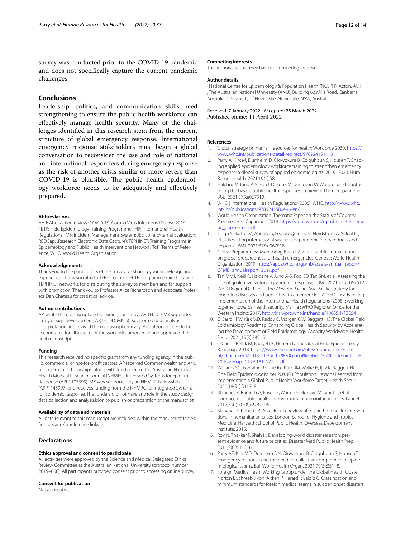survey was conducted prior to the COVID-19 pandemic and does not specifcally capture the current pandemic challenges.

# **Conclusions**

Leadership, politics, and communication skills need strengthening to ensure the public health workforce can efectively manage health security. Many of the challenges identifed in this research stem from the current structure of global emergency response. International emergency response stakeholders must begin a global conversation to reconsider the use and role of national and international responders during emergency response as the risk of another crisis similar or more severe than COVID-19 is plausible. The public health epidemiology workforce needs to be adequately and efectively prepared.

#### **Abbreviations**

AAR: After action review; COVID-19: Corona Virus Infectious Disease 2019; FETP: Field Epidemiology Training Programme; IHR: International Health Regulations; IMS: Incident Management System; JEE: Joint External Evaluation; REDCap: (Research Electronic Data Capture); TEPHINET: Training Programs in Epidemiology and Public Health Interventions Network; ToR: Terms of Reference; WHO: World Health Organization.

# **Acknowledgements**

Thank you to the participants of the survey for sharing your knowledge and experience. Thank you also to TEPHIconnect, FETP programme directors, and TEPHINET networks, for distributing the survey to members and for support with promotion. Thank you to Professor Alice Richardson and Associate Professor Dan Chateau for statistical advice.

#### **Author contributions**

AP wrote the manuscript and is leading the study; AP, TH, DD, MK supported study design development, AP,TH, DD, MK, SC supported data analysis interpretation and revised the manuscript critically. All authors agreed to be accountable for all aspects of the work. All authors read and approved the fnal manuscript.

#### **Funding**

This research received no specifc grant from any funding agency in the public, commercial or not-for-proft sectors. AP received Commonwealth and ANU science merit scholarships, along with funding from the Australian National Health Medical Research Council (NHMRC) Integrated Systems for Epidemic Response (APP1107393). MK was supported by an NHMRC Fellowship (APP1145997) and receives funding from the NHMRC for Integrated Systems for Epidemic Response. The funders did not have any role in the study design, data collection and analysis,ision to publish or preparation of the manuscript.

#### **Availability of data and materials**

All data relevant to this manuscript are included within the manuscript tables, figurers and/or reference links.

#### **Declarations**

#### **Ethics approval and consent to participate**

All activities were approved by the Science and Medical Delegated Ethics Review Committee at the Australian National University (protocol number 2019–068). All participants provided consent prior to accessing online survey.

#### **Consent for publication**

Not applicable.

## **Competing interests**

The authors are that they have no competing interests.

#### **Author details**

<sup>1</sup> National Centre for Epidemiology & Population Health (NCEPH), Acton, ACT , The Australian National University (ANU), Building 62 Mills Road, Canberra, Australia. <sup>2</sup> University of Newcastle, Newcastle, NSW, Australia.

#### Received: 7 January 2022 Accepted: 25 March 2022 Published online: 11 April 2022

#### **References**

- <span id="page-11-0"></span>1. Global strategy on human resources for health: Workforce 2030. [https://](https://www.who.int/publications-detail-redirect/9789241511131) [www.who.int/publications-detail-redirect/9789241511131](https://www.who.int/publications-detail-redirect/9789241511131)
- <span id="page-11-10"></span>2. Parry A, Kirk M, Durrheim D, Olowokure B, Colquhoun S, Housen T. Shaping applied epidemiology workforce training to strengthen emergency response: a global survey of applied epidemiologists, 2019–2020. Hum Resour Health. 2021;19(1):58.
- <span id="page-11-1"></span>3. Haldane V, Jung A-S, Foo CD, Bonk M, Jamieson M, Wu S, et al. Strengthening the basics: public health responses to prevent the next pandemic. BMJ. 2021;375:e067510.
- <span id="page-11-2"></span>4. WHO | International Health Regulations (2005). WHO. [http://www.who.](http://www.who.int/ihr/publications/9789241580496/en/) [int/ihr/publications/9789241580496/en/](http://www.who.int/ihr/publications/9789241580496/en/)
- <span id="page-11-3"></span>5. World Health Organization. Thematic Paper on the Status of Country Preparedness Capacities. 2019. [https://apps.who.int/gpmb/assets/thema](https://apps.who.int/gpmb/assets/thematic_papers/tr-2.pdf) [tic\\_papers/tr-2.pdf](https://apps.who.int/gpmb/assets/thematic_papers/tr-2.pdf)
- 6. Singh S, Bartos M, Abdalla S, Legido-Quigley H, Nordström A, Sirleaf EJ, et al. Resetting international systems for pandemic preparedness and response. BMJ. 2021;375:e067518.
- <span id="page-11-11"></span>7. Global Preparedness Monitoring Board. A world at risk: annual report on global preparedness for health emergencies. Geneva: World Health Organization; 2019. [https://apps.who.int/gpmb/assets/annual\\_report/](https://apps.who.int/gpmb/assets/annual_report/GPMB_annualreport_2019.pdf) [GPMB\\_annualreport\\_2019.pdf](https://apps.who.int/gpmb/assets/annual_report/GPMB_annualreport_2019.pdf)
- <span id="page-11-4"></span>8. Tan MMJ, Neill R, Haldane V, Jung A-S, Foo CD, Tan SM, et al. Assessing the role of qualitative factors in pandemic responses. BMJ. 2021;375:e067512.
- <span id="page-11-5"></span>WHO Regional Office for the Western Pacific. Asia Pacific strategy for emerging diseases and public health emergencies (APSED III): advancing implementation of the International Health Regulations (2005) : working together towards health security. Manila : WHO Regional Office for the Western Pacifc; 2017.<http://iris.wpro.who.int/handle/10665.1/13654>
- 10. O'Carroll PW, Kirk MD, Reddy C, Morgan OW, Baggett HC. The Global Field Epidemiology Roadmap: Enhancing Global Health Security by Accelerating the Development of Field Epidemiology Capacity Worldwide. Health Secur. 2021;19(3):349–51.
- 11. O'Carroll P, Kirk M, Baggett K, Herrera D. The Global Field Epidemiology Roadmap. 2018. [https://www.tephinet.org/sites/tephinet/fles/conte](https://www.tephinet.org/sites/tephinet/files/content/attachment/2018-11-26/The%20Global%20Field%20Epidemiology%20Roadmap_11.26.18.FINAL_.pdf) [nt/attachment/2018-11-26/The%20Global%20Field%20Epidemiology%](https://www.tephinet.org/sites/tephinet/files/content/attachment/2018-11-26/The%20Global%20Field%20Epidemiology%20Roadmap_11.26.18.FINAL_.pdf) [20Roadmap\\_11.26.18.FINAL\\_.pdf](https://www.tephinet.org/sites/tephinet/files/content/attachment/2018-11-26/The%20Global%20Field%20Epidemiology%20Roadmap_11.26.18.FINAL_.pdf)
- <span id="page-11-6"></span>12. Williams SG, Fontaine RE, Turcios Ruiz RM, Walke H, Ijaz K, Baggett HC. One Field Epidemiologist per 200,000 Population: Lessons Learned from Implementing a Global Public Health Workforce Target. Health Secur. 2020;18(S1):S113–8.
- <span id="page-11-7"></span>13. Blanchet K, Ramesh A, Frison S, Warren E, Hossain M, Smith J, et al. Evidence on public health interventions in humanitarian crises. Lancet. 2017;390(10109):2287–96.
- 14. Blanchet K, Roberts B. An evidence review of research on health interventions in humanitarian crises. London School of Hygiene and Tropical Medicine: Harvard School of Public Health, Overseas Development Institute; 2015.
- 15. Roy N, Thakkar P, Shah H. Developing-world disaster research: present evidence and future priorities. Disaster Med Public Health Prep. 2011;5(02):112–6.
- <span id="page-11-8"></span>16. Parry AE, Kirk MD, Durrheim DN, Olowokure B, Colquhoun S, Housen T. Emergency response and the need for collective competence in epidemiological teams. Bull World Health Organ. 2021;99(5):351–8.
- <span id="page-11-9"></span>17. Foreign Medical Team Working Group under the Global Health Cluster, Norton I, Schreeb J von, Aitken P, Herard P, Lajolo C. Classifcation and minimum standards for foreign medical teams in sudden onset disasters.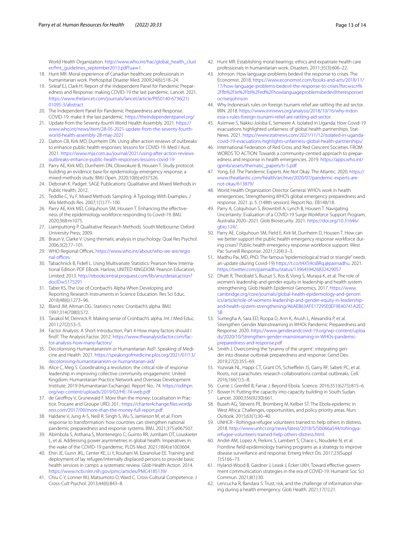World Health Organization. [http://www.who.int/hac/global\\_health\\_clust](http://www.who.int/hac/global_health_cluster/fmt_guidelines_september2013.pdf?ua=1) er/fmt\_quidelines\_september2013.pdf?ua=1

- <span id="page-12-0"></span>18. Hunt MR. Moral experience of Canadian healthcare professionals in humanitarian work. Prehospital Disaster Med. 2009;24(6):518–24.
- <span id="page-12-1"></span>19. Sirleaf EJ, Clark H. Report of the Independent Panel for Pandemic Preparedness and Response: making COVID-19 the last pandemic. Lancet. 2021. [https://www.thelancet.com/journals/lancet/article/PIIS0140-6736\(21\)](https://www.thelancet.com/journals/lancet/article/PIIS0140-6736(21)01095-3/abstract) [01095-3/abstract](https://www.thelancet.com/journals/lancet/article/PIIS0140-6736(21)01095-3/abstract)
- <span id="page-12-28"></span>20. The Independent Panel for Pandemic Preparedness and Response. COVID-19: make it the last pandemic. <https://theindependentpanel.org/>
- <span id="page-12-2"></span>21. Update from the Seventy-fourth World Health Assembly. 2021. [https://](https://www.who.int/news/item/28-05-2021-update-from-the-seventy-fourth-world-health-assembly-28-may-2021) [www.who.int/news/item/28-05-2021-update-from-the-seventy-fourth](https://www.who.int/news/item/28-05-2021-update-from-the-seventy-fourth-world-health-assembly-28-may-2021)[world-health-assembly-28-may-2021](https://www.who.int/news/item/28-05-2021-update-from-the-seventy-fourth-world-health-assembly-28-may-2021)
- <span id="page-12-3"></span>22. Dalton CB, Kirk MD, Durrheim DN. Using after-action reviews of outbreaks to enhance public health responses: lessons for COVID-19. Med J Aust. 2021. [https://www.mja.com.au/journal/2021/using-after-action-reviews](https://www.mja.com.au/journal/2021/using-after-action-reviews-outbreaks-enhance-public-health-responses-lessons-covid-19)[outbreaks-enhance-public-health-responses-lessons-covid-19](https://www.mja.com.au/journal/2021/using-after-action-reviews-outbreaks-enhance-public-health-responses-lessons-covid-19)
- <span id="page-12-4"></span>23. Parry AE, Kirk MD, Durrheim DN, Olowokure B, Housen T. Study protocol: building an evidence base for epidemiology emergency response, a mixed-methods study. BMJ Open. 2020;10(6):e037326.
- <span id="page-12-5"></span>24. Deborah K. Padget. SAGE Publications: Qualitative and Mixed Methods in Public Health; 2012.
- <span id="page-12-6"></span>25. Teddlie C, Yu F. Mixed Methods Sampling: A Typology With Examples. J Mix Methods Res. 2007;1(1):77–100.
- <span id="page-12-7"></span>26. Parry AE, Kirk MD, Colquhoun SM, Housen T. Enhancing the efectiveness of the epidemiology workforce responding to Covid-19. BMJ. 2020;368:m1075.
- <span id="page-12-8"></span>27. Liamputtong P. Qualitative Research Methods. South Melbourne: Oxford University Press; 2009.
- <span id="page-12-9"></span>28. Braun V, Clarke V. Using thematic analysis in psychology. Qual Res Psychol. 2006;3(2):77–101.
- <span id="page-12-10"></span>29. WHO Regional Offices. [https://www.who.int/about/who-we-are/regio](https://www.who.int/about/who-we-are/regional-offices) nal-offices
- <span id="page-12-11"></span>30. Tabachnick B, Fidell L. Using Multivariate Statistics: Pearson New International Edition PDF EBook. Harlow, UNITED KINGDOM: Pearson Education, Limited; 2013. [http://ebookcentral.proquest.com/lib/anu/detail.action?](http://ebookcentral.proquest.com/lib/anu/detail.action?docID=5175291) docID=5175291
- <span id="page-12-12"></span>31. [Taber KS. The Use](http://ebookcentral.proquest.com/lib/anu/detail.action?docID=5175291) of Cronbach's Alpha When Developing and Reporting Research Instruments in Science Education. Res Sci Educ. 2018;48(6):1273–96.
- 32. Bland JM, Altman DG. Statistics notes: Cronbach's alpha. BMJ. 1997;314(7080):572.
- <span id="page-12-13"></span>33. Tavakol M, Dennick R. Making sense of Cronbach's alpha. Int J Med Educ. 2011;27(2):53–5.
- <span id="page-12-14"></span>34. Factor Analysis: A Short Introduction, Part 4-How many factors should I fnd?. The Analysis Factor. 2012. [https://www.theanalysisfactor.com/fac](https://www.theanalysisfactor.com/factor-analysis-how-many-factors/)[tor-analysis-how-many-factors/](https://www.theanalysisfactor.com/factor-analysis-how-many-factors/)
- <span id="page-12-15"></span>35. Decolonising Humanitarianism or Humanitarian Aid?. Speaking of Medicine and Health. 2021. [https://speakingofmedicine.plos.org/2021/07/13/](https://speakingofmedicine.plos.org/2021/07/13/decolonising-humanitarianism-or-humanitarian-aid/) [decolonising-humanitarianism-or-humanitarian-aid/](https://speakingofmedicine.plos.org/2021/07/13/decolonising-humanitarianism-or-humanitarian-aid/)
- <span id="page-12-20"></span>36. Alice C, Meg S. Coordinating a revolution: the critical role of response leadership in improving collective community engagement. United Kingdom: Humanitarian Practice Network and Overseas Development Institute; 2019 (Humanitarian Exchange). Report No.: 74. [https://odihpn.](https://odihpn.org/wp-content/uploads/2019/02/HE-74-web.pdf) [org/wp-content/uploads/2019/02/HE-74-web.pdf](https://odihpn.org/wp-content/uploads/2019/02/HE-74-web.pdf)
- <span id="page-12-19"></span>37. de Geofroy V, Grunewald F. More than the money: Localisation in Practice. Trocaire and Groupe URD; 201.: [https://charter4change.fles.wordp](https://charter4change.files.wordpress.com/2017/09/more-than-the-money-full-report.pdf) [ress.com/2017/09/more-than-the-money-full-report.pdf](https://charter4change.files.wordpress.com/2017/09/more-than-the-money-full-report.pdf)
- <span id="page-12-16"></span>38. Haldane V, Jung A-S, Neill R, Singh S, Wu S, Jamieson M, et al. From response to transformation: how countries can strengthen national pandemic preparedness and response systems. BMJ. 2021;375:e067507.
- <span id="page-12-17"></span>39. Abimbola S, Asthana S, Montenegro C, Guinto RR, Jumbam DT, Louskieter L, et al. Addressing power asymmetries in global health: Imperatives in the wake of the COVID-19 pandemic. PLOS Med. 2021;18(4):e1003604.
- <span id="page-12-32"></span>40. Ehiri JE, Gunn JKL, Center KE, Li Y, Rouhani M, Ezeanolue EE. Training and deployment of lay refugee/internally displaced persons to provide basic health services in camps: a systematic review. Glob Health Action. 2014. <https://www.ncbi.nlm.nih.gov/pmc/articles/PMC4185139/>
- 41. Chiu C-Y, Lonner WJ, Matsumoto D, Ward C. Cross-Cultural Competence. J Cross-Cult Psychol. 2013;44(6):843–8.
- 42. Hunt MR. Establishing moral bearings: ethics and expatriate health care professionals in humanitarian work. Disasters. 2011;35(3):606–22.
- <span id="page-12-18"></span>43. Johnson. How language problems bedevil the response to crises. The Economist. 2018. [https://www.economist.com/books-and-arts/2018/11/](https://www.economist.com/books-and-arts/2018/11/17/how-language-problems-bedevil-the-response-to-crises?fsrc=scn%2Ffb%2Fte%2Fbl%2Fed%2Fhowlanguageproblemsbedeviltheresponsetocrisesjohnson) [17/how-language-problems-bedevil-the-response-to-crises?fsrc](https://www.economist.com/books-and-arts/2018/11/17/how-language-problems-bedevil-the-response-to-crises?fsrc=scn%2Ffb%2Fte%2Fbl%2Fed%2Fhowlanguageproblemsbedeviltheresponsetocrisesjohnson)=scn% [2Ffb%2Fte%2Fbl%2Fed%2Fhowlanguageproblemsbedeviltheresponset](https://www.economist.com/books-and-arts/2018/11/17/how-language-problems-bedevil-the-response-to-crises?fsrc=scn%2Ffb%2Fte%2Fbl%2Fed%2Fhowlanguageproblemsbedeviltheresponsetocrisesjohnson) [ocrisesjohnson](https://www.economist.com/books-and-arts/2018/11/17/how-language-problems-bedevil-the-response-to-crises?fsrc=scn%2Ffb%2Fte%2Fbl%2Fed%2Fhowlanguageproblemsbedeviltheresponsetocrisesjohnson)
- <span id="page-12-21"></span>44. Why Indonesia's rules on foreign tsunami relief are rattling the aid sector. IRIN. 2018. [https://www.irinnews.org/analysis/2018/10/16/why-indon](https://www.irinnews.org/analysis/2018/10/16/why-indonesia-s-rules-foreign-tsunami-relief-are-rattling-aid-sector) [esia-s-rules-foreign-tsunami-relief-are-rattling-aid-sector](https://www.irinnews.org/analysis/2018/10/16/why-indonesia-s-rules-foreign-tsunami-relief-are-rattling-aid-sector)
- <span id="page-12-22"></span>45. Asiimwe S, Nakku-Joloba E, Semeere A. Isolated in Uganda: How Covid-19 evacuations highlighted unfairness of global health partnerships. Stat-News. 2021. [https://www.statnews.com/2021/11/12/isolated-in-uganda](https://www.statnews.com/2021/11/12/isolated-in-uganda-covid-19-evacuations-highlights-unfairness-global-health-partnerships/)[covid-19-evacuations-highlights-unfairness-global-health-partnerships/](https://www.statnews.com/2021/11/12/isolated-in-uganda-covid-19-evacuations-highlights-unfairness-global-health-partnerships/)
- <span id="page-12-23"></span>46. International Federation of Red Cross and Red Crescent Societies. FROM WORDS TO ACTION: Towards a community-centred approach to preparedness and response in health emergencies. 2019. [https://apps.who.int/](https://apps.who.int/gpmb/assets/thematic_papers/tr-5.pdf) [gpmb/assets/thematic\\_papers/tr-5.pdf](https://apps.who.int/gpmb/assets/thematic_papers/tr-5.pdf)
- <span id="page-12-24"></span>47. Yong, Ed. The Pandemic Experts Are Not Okay. The Atlantic. 2020. [https://](https://www.theatlantic.com/health/archive/2020/07/pandemic-experts-are-not-okay/613879/) [www.theatlantic.com/health/archive/2020/07/pandemic-experts-are](https://www.theatlantic.com/health/archive/2020/07/pandemic-experts-are-not-okay/613879/)[not-okay/613879/](https://www.theatlantic.com/health/archive/2020/07/pandemic-experts-are-not-okay/613879/)
- <span id="page-12-25"></span>48. World Health Organization Director General. WHO's work in health emergencies, Strengthening WHO's global emergency preparedness and response. 2021. p. 5. (148th session). Report No.: EB148/18.
- <span id="page-12-26"></span>49. Parry A, Colquhoun S, Brownbill A, Lynch B, Housen T. Navigating Uncertainty: Evaluation of a COVID-19 Surge Workforce Support Program, Australia 2020–2021. Glob Biosecurity. 2021. [https://doi.org/10.31646/](https://doi.org/10.31646/gbio.124/) [gbio.124/](https://doi.org/10.31646/gbio.124/).
- <span id="page-12-27"></span>50. Parry AE, Colquhoun SM, Field E, Kirk M, Durrheim D, Housen T. How can we better support the public health emergency response workforce during crises? Public health emergency response workforce support. West Pac Surveill Response. 2021;12(4):3–3.
- <span id="page-12-29"></span>51. Madhu Pai, MD, PhD. The famous "epidemiological triad or triangle" needs an update (during Covid-19) <https://t.co/t4X59csBRq.@paimadhu>. 2021. <https://twitter.com/paimadhu/status/1396459426832429057>
- <span id="page-12-30"></span>52. Dhatt R, Theobald S, Buzuzi S, Ros B, Vong S, Muraya K, et al. The role of women's leadership and gender equity in leadership and health system strengthening. Glob Health Epidemiol Genomics. 2017. [https://www.](https://www.cambridge.org/core/journals/global-health-epidemiology-and-genomics/article/role-of-womens-leadership-and-gender-equity-in-leadership-and-health-system-strengthening/A6AEB63AFE17295E0EF9E40741A2EC5B) [cambridge.org/core/journals/global-health-epidemiology-and-genom](https://www.cambridge.org/core/journals/global-health-epidemiology-and-genomics/article/role-of-womens-leadership-and-gender-equity-in-leadership-and-health-system-strengthening/A6AEB63AFE17295E0EF9E40741A2EC5B) [ics/article/role-of-womens-leadership-and-gender-equity-in-leadership](https://www.cambridge.org/core/journals/global-health-epidemiology-and-genomics/article/role-of-womens-leadership-and-gender-equity-in-leadership-and-health-system-strengthening/A6AEB63AFE17295E0EF9E40741A2EC5B)[and-health-system-strengthening/A6AEB63AFE17295E0EF9E40741A2EC](https://www.cambridge.org/core/journals/global-health-epidemiology-and-genomics/article/role-of-womens-leadership-and-gender-equity-in-leadership-and-health-system-strengthening/A6AEB63AFE17295E0EF9E40741A2EC5B) [5B](https://www.cambridge.org/core/journals/global-health-epidemiology-and-genomics/article/role-of-womens-leadership-and-gender-equity-in-leadership-and-health-system-strengthening/A6AEB63AFE17295E0EF9E40741A2EC5B)
- 53. Sumegha A, Sara ED, Roopa D, Ann K, Arush L, Alexandra P, et al. Strengthen Gender Mainstreaming in WHOs Pandemic Preparedness and Response. 2020. [https://www.genderandcovid-19.org/wp-content/uploa](https://www.genderandcovid-19.org/wp-content/uploads/2020/10/Strengthen-gender-mainstreaming-in-WHOs-pandemic-preparedness-and-response.pdf) [ds/2020/10/Strengthen-gender-mainstreaming-in-WHOs-pandemic](https://www.genderandcovid-19.org/wp-content/uploads/2020/10/Strengthen-gender-mainstreaming-in-WHOs-pandemic-preparedness-and-response.pdf)[preparedness-and-response.pdf](https://www.genderandcovid-19.org/wp-content/uploads/2020/10/Strengthen-gender-mainstreaming-in-WHOs-pandemic-preparedness-and-response.pdf)
- <span id="page-12-31"></span>54. Smith J. Overcoming the 'tyranny of the urgent': integrating gender into disease outbreak preparedness and response. Gend Dev. 2019;27(2):355–69.
- <span id="page-12-33"></span>55. Yozwiak NL, Happi CT, Grant DS, Schiefelin JS, Garry RF, Sabeti PC, et al. Roots, not parachutes: research collaborations combat outbreaks. Cell. 2016;166(1):5–8.
- 56. Currie J, Grenfell B, Farrar J. Beyond Ebola. Science. 2016;351(6275):815–6.
- 57. Bower H. Putting the capacity into capacity building in South Sudan. Lancet. 2000;356(9230):661.
- 58. Buseh AG, Stevens PE, Bromberg M, Kelber ST. The Ebola epidemic in West Africa: Challenges, opportunities, and policy priority areas. Nurs Outlook. 2015;63(1):30–40.
- 59. UNHCR Rohingya refugee volunteers trained to help others in distress. 2018. [http://www.unhcr.org/news/latest/2018/5/5b066a544/rohingya](http://www.unhcr.org/news/latest/2018/5/5b066a544/rohingya-refugee-volunteers-trained-help-others-distress.html)[refugee-volunteers-trained-help-others-distress.html](http://www.unhcr.org/news/latest/2018/5/5b066a544/rohingya-refugee-volunteers-trained-help-others-distress.html)
- <span id="page-12-34"></span>60. André AM, Lopez A, Perkins S, Lambert S, Chace L, Noudeke N, et al. Frontline feld epidemiology training programs as a strategy to improve disease surveillance and response. Emerg Infect Dis. 2017;23(Suppl 1):S166–73.
- <span id="page-12-35"></span>61. Hyland-Wood B, Gardner J, Leask J, Ecker UKH. Toward efective government communication strategies in the era of COVID-19. Humanit Soc Sci Commun. 2021;8(1):30.
- <span id="page-12-36"></span>62. Lencucha R, Bandara S. Trust, risk, and the challenge of information sharing during a health emergency. Glob Health. 2021;17(1):21.